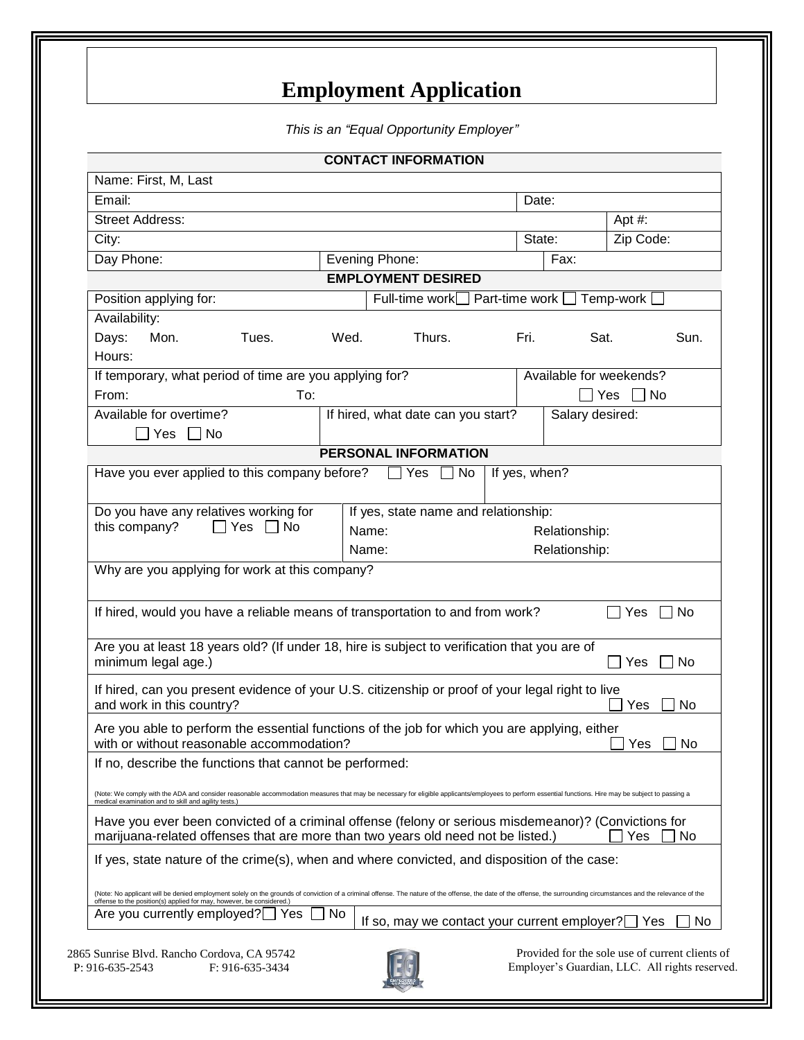## **Employment Application**

*This is an "Equal Opportunity Employer"*

|                                                                                                                                                                                                                                                                                             |      | <b>CONTACT INFORMATION</b>                    |               |                         |                                                                                                   |  |
|---------------------------------------------------------------------------------------------------------------------------------------------------------------------------------------------------------------------------------------------------------------------------------------------|------|-----------------------------------------------|---------------|-------------------------|---------------------------------------------------------------------------------------------------|--|
| Name: First, M, Last                                                                                                                                                                                                                                                                        |      |                                               |               |                         |                                                                                                   |  |
| Email:                                                                                                                                                                                                                                                                                      |      |                                               |               | Date:                   |                                                                                                   |  |
| <b>Street Address:</b>                                                                                                                                                                                                                                                                      |      |                                               |               |                         | Apt #:                                                                                            |  |
| City:                                                                                                                                                                                                                                                                                       |      |                                               | State:        |                         | Zip Code:                                                                                         |  |
| Day Phone:                                                                                                                                                                                                                                                                                  |      | Evening Phone:                                |               | Fax:                    |                                                                                                   |  |
|                                                                                                                                                                                                                                                                                             |      | <b>EMPLOYMENT DESIRED</b>                     |               |                         |                                                                                                   |  |
| Position applying for:                                                                                                                                                                                                                                                                      |      | Full-time work   Part-time work   Temp-work [ |               |                         |                                                                                                   |  |
| Availability:                                                                                                                                                                                                                                                                               |      |                                               |               |                         |                                                                                                   |  |
| Days:<br>Mon.<br>Tues.<br>Hours:                                                                                                                                                                                                                                                            | Wed. | Thurs.                                        | Fri.          | Sat.                    | Sun.                                                                                              |  |
| If temporary, what period of time are you applying for?                                                                                                                                                                                                                                     |      |                                               |               | Available for weekends? |                                                                                                   |  |
| From:<br>To:                                                                                                                                                                                                                                                                                |      |                                               |               |                         | Yes  <br>  No                                                                                     |  |
| Available for overtime?<br>$\Box$ No<br>Yes                                                                                                                                                                                                                                                 |      | If hired, what date can you start?            |               | Salary desired:         |                                                                                                   |  |
|                                                                                                                                                                                                                                                                                             |      | PERSONAL INFORMATION                          |               |                         |                                                                                                   |  |
| Have you ever applied to this company before?                                                                                                                                                                                                                                               |      | $\Box$ No<br>$\sqcup$ Yes                     | If yes, when? |                         |                                                                                                   |  |
|                                                                                                                                                                                                                                                                                             |      |                                               |               |                         |                                                                                                   |  |
| Do you have any relatives working for                                                                                                                                                                                                                                                       |      | If yes, state name and relationship:          |               |                         |                                                                                                   |  |
| this company?<br>$\Box$ Yes [<br>l No                                                                                                                                                                                                                                                       |      | Name:                                         |               | Relationship:           |                                                                                                   |  |
|                                                                                                                                                                                                                                                                                             |      | Name:                                         |               | Relationship:           |                                                                                                   |  |
| Why are you applying for work at this company?                                                                                                                                                                                                                                              |      |                                               |               |                         |                                                                                                   |  |
|                                                                                                                                                                                                                                                                                             |      |                                               |               |                         |                                                                                                   |  |
| If hired, would you have a reliable means of transportation to and from work?                                                                                                                                                                                                               |      |                                               |               |                         | $\Box$ Yes<br>No.                                                                                 |  |
| Are you at least 18 years old? (If under 18, hire is subject to verification that you are of<br>minimum legal age.)                                                                                                                                                                         |      |                                               |               |                         | $\Box$ Yes<br>No                                                                                  |  |
| If hired, can you present evidence of your U.S. citizenship or proof of your legal right to live<br>and work in this country?                                                                                                                                                               |      |                                               |               |                         | No<br>Yes                                                                                         |  |
| Are you able to perform the essential functions of the job for which you are applying, either<br>with or without reasonable accommodation?                                                                                                                                                  |      |                                               |               |                         | $\Box$ No<br>Yes                                                                                  |  |
| If no, describe the functions that cannot be performed:                                                                                                                                                                                                                                     |      |                                               |               |                         |                                                                                                   |  |
| (Note: We comply with the ADA and consider reasonable accommodation measures that may be necessary for eligible applicants/employees to perform essential functions. Hire may be subject to passing a<br>medical examination and to skill and agility tests.)                               |      |                                               |               |                         |                                                                                                   |  |
| Have you ever been convicted of a criminal offense (felony or serious misdemeanor)? (Convictions for<br>marijuana-related offenses that are more than two years old need not be listed.)                                                                                                    |      |                                               |               |                         | Yes<br>No                                                                                         |  |
| If yes, state nature of the crime(s), when and where convicted, and disposition of the case:                                                                                                                                                                                                |      |                                               |               |                         |                                                                                                   |  |
| (Note: No applicant will be denied employment solely on the grounds of conviction of a criminal offense. The nature of the offense, the date of the offense, the surrounding circumstances and the relevance of the<br>offense to the position(s) applied for may, however, be considered.) |      |                                               |               |                         |                                                                                                   |  |
| Are you currently employed?<br>Yes                                                                                                                                                                                                                                                          | No   | If so, may we contact your current employer?  |               |                         | No.<br>Yes                                                                                        |  |
| 2865 Sunrise Blvd. Rancho Cordova, CA 95742<br>P: 916-635-2543<br>F: 916-635-3434                                                                                                                                                                                                           |      |                                               |               |                         | Provided for the sole use of current clients of<br>Employer's Guardian, LLC. All rights reserved. |  |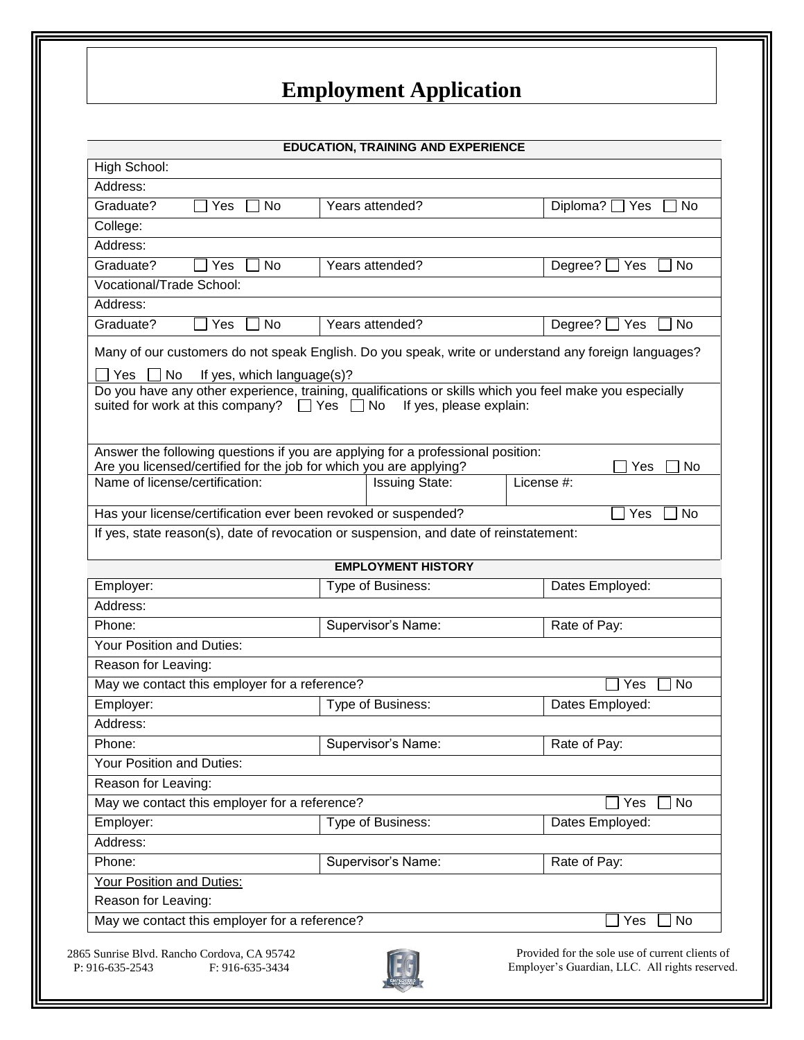## **Employment Application**

|                                                                                                                                                                                                                                                                                                                            |                   | <b>EDUCATION, TRAINING AND EXPERIENCE</b> |                                    |  |
|----------------------------------------------------------------------------------------------------------------------------------------------------------------------------------------------------------------------------------------------------------------------------------------------------------------------------|-------------------|-------------------------------------------|------------------------------------|--|
| High School:                                                                                                                                                                                                                                                                                                               |                   |                                           |                                    |  |
| Address:                                                                                                                                                                                                                                                                                                                   |                   |                                           |                                    |  |
| Graduate?<br>No<br>Yes                                                                                                                                                                                                                                                                                                     |                   | Years attended?                           | Diploma? $\Box$ Yes<br>No          |  |
| College:                                                                                                                                                                                                                                                                                                                   |                   |                                           |                                    |  |
| Address:                                                                                                                                                                                                                                                                                                                   |                   |                                           |                                    |  |
| Graduate?<br><b>No</b><br>Yes                                                                                                                                                                                                                                                                                              |                   | Years attended?                           | Degree?<br>Yes<br>No               |  |
| Vocational/Trade School:                                                                                                                                                                                                                                                                                                   |                   |                                           |                                    |  |
| Address:                                                                                                                                                                                                                                                                                                                   |                   |                                           |                                    |  |
| Graduate?<br><b>No</b><br>Yes                                                                                                                                                                                                                                                                                              |                   | Years attended?                           | <b>No</b><br>Degree?<br>$\Box$ Yes |  |
| Many of our customers do not speak English. Do you speak, write or understand any foreign languages?<br><b>No</b><br>Yes<br>If yes, which language(s)?<br>Do you have any other experience, training, qualifications or skills which you feel make you especially<br>suited for work at this company? $\Box$ Yes $\Box$ No |                   | If yes, please explain:                   |                                    |  |
| Answer the following questions if you are applying for a professional position:                                                                                                                                                                                                                                            |                   |                                           |                                    |  |
| Are you licensed/certified for the job for which you are applying?                                                                                                                                                                                                                                                         |                   |                                           | Yes<br>No                          |  |
| Name of license/certification:                                                                                                                                                                                                                                                                                             |                   | <b>Issuing State:</b>                     | License #:                         |  |
| Has your license/certification ever been revoked or suspended?                                                                                                                                                                                                                                                             |                   |                                           | No<br>Yes                          |  |
| If yes, state reason(s), date of revocation or suspension, and date of reinstatement:                                                                                                                                                                                                                                      |                   |                                           |                                    |  |
|                                                                                                                                                                                                                                                                                                                            |                   |                                           |                                    |  |
|                                                                                                                                                                                                                                                                                                                            |                   | <b>EMPLOYMENT HISTORY</b>                 |                                    |  |
| Employer:                                                                                                                                                                                                                                                                                                                  |                   | Type of Business:                         | Dates Employed:                    |  |
| Address:                                                                                                                                                                                                                                                                                                                   |                   |                                           |                                    |  |
| Phone:                                                                                                                                                                                                                                                                                                                     |                   | Supervisor's Name:                        | Rate of Pay:                       |  |
| Your Position and Duties:                                                                                                                                                                                                                                                                                                  |                   |                                           |                                    |  |
| Reason for Leaving:                                                                                                                                                                                                                                                                                                        |                   |                                           |                                    |  |
| May we contact this employer for a reference?                                                                                                                                                                                                                                                                              |                   |                                           | <b>No</b><br>Yes                   |  |
| Employer:                                                                                                                                                                                                                                                                                                                  | Type of Business: |                                           | Dates Employed:                    |  |
| Address:                                                                                                                                                                                                                                                                                                                   |                   |                                           |                                    |  |
| Phone:                                                                                                                                                                                                                                                                                                                     |                   | Supervisor's Name:                        | Rate of Pay:                       |  |
| Your Position and Duties:                                                                                                                                                                                                                                                                                                  |                   |                                           |                                    |  |
| Reason for Leaving:                                                                                                                                                                                                                                                                                                        |                   |                                           |                                    |  |
| May we contact this employer for a reference?                                                                                                                                                                                                                                                                              |                   |                                           | <b>No</b><br>Yes                   |  |
| Employer:                                                                                                                                                                                                                                                                                                                  |                   | Type of Business:                         | Dates Employed:                    |  |
| Address:                                                                                                                                                                                                                                                                                                                   |                   |                                           |                                    |  |
| Phone:                                                                                                                                                                                                                                                                                                                     |                   | Supervisor's Name:                        | Rate of Pay:                       |  |
| Your Position and Duties:                                                                                                                                                                                                                                                                                                  |                   |                                           |                                    |  |
| Reason for Leaving:                                                                                                                                                                                                                                                                                                        |                   |                                           |                                    |  |
| May we contact this employer for a reference?                                                                                                                                                                                                                                                                              |                   |                                           | No<br>Yes                          |  |
|                                                                                                                                                                                                                                                                                                                            |                   |                                           |                                    |  |



Provided for the sole use of current clients of Employer's Guardian, LLC. All rights reserved.